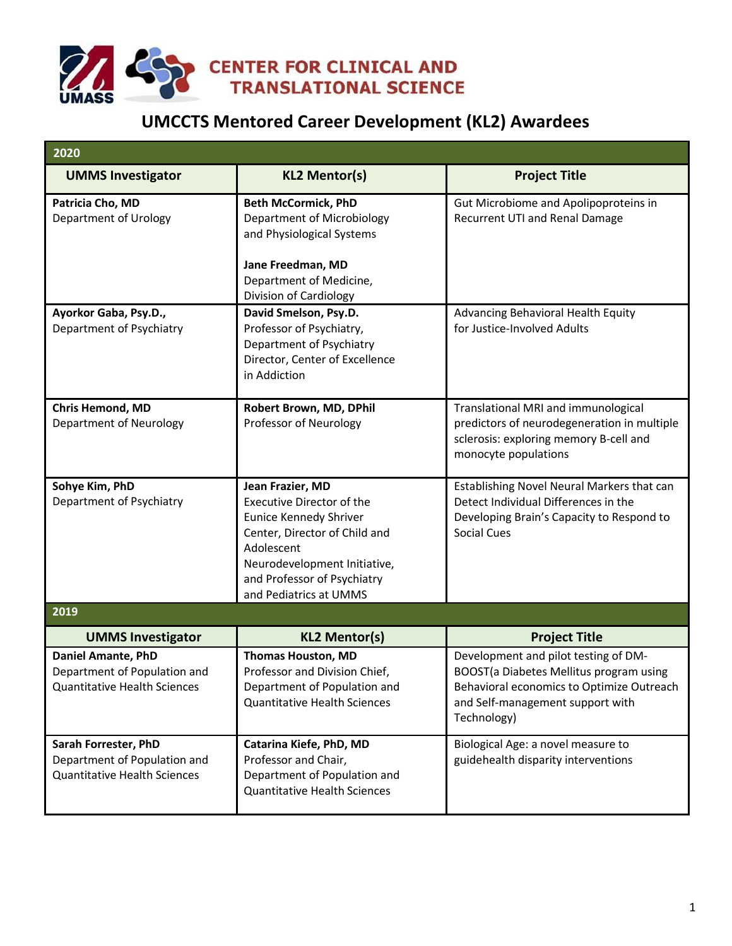

## **UMCCTS Mentored Career Development (KL2) Awardees**

| 2020                                                                                             |                                                                                                                                                                                                                        |                                                                                                                                                                                 |
|--------------------------------------------------------------------------------------------------|------------------------------------------------------------------------------------------------------------------------------------------------------------------------------------------------------------------------|---------------------------------------------------------------------------------------------------------------------------------------------------------------------------------|
| <b>UMMS Investigator</b>                                                                         | <b>KL2 Mentor(s)</b>                                                                                                                                                                                                   | <b>Project Title</b>                                                                                                                                                            |
| Patricia Cho, MD<br>Department of Urology                                                        | <b>Beth McCormick, PhD</b><br>Department of Microbiology<br>and Physiological Systems<br>Jane Freedman, MD<br>Department of Medicine,<br>Division of Cardiology                                                        | Gut Microbiome and Apolipoproteins in<br>Recurrent UTI and Renal Damage                                                                                                         |
| Ayorkor Gaba, Psy.D.,<br>Department of Psychiatry                                                | David Smelson, Psy.D.<br>Professor of Psychiatry,<br>Department of Psychiatry<br>Director, Center of Excellence<br>in Addiction                                                                                        | Advancing Behavioral Health Equity<br>for Justice-Involved Adults                                                                                                               |
| <b>Chris Hemond, MD</b><br>Department of Neurology                                               | Robert Brown, MD, DPhil<br>Professor of Neurology                                                                                                                                                                      | Translational MRI and immunological<br>predictors of neurodegeneration in multiple<br>sclerosis: exploring memory B-cell and<br>monocyte populations                            |
| Sohye Kim, PhD<br>Department of Psychiatry                                                       | Jean Frazier, MD<br><b>Executive Director of the</b><br>Eunice Kennedy Shriver<br>Center, Director of Child and<br>Adolescent<br>Neurodevelopment Initiative,<br>and Professor of Psychiatry<br>and Pediatrics at UMMS | Establishing Novel Neural Markers that can<br>Detect Individual Differences in the<br>Developing Brain's Capacity to Respond to<br><b>Social Cues</b>                           |
| 2019                                                                                             |                                                                                                                                                                                                                        |                                                                                                                                                                                 |
| <b>UMMS Investigator</b>                                                                         | <b>KL2 Mentor(s)</b>                                                                                                                                                                                                   | <b>Project Title</b>                                                                                                                                                            |
| <b>Daniel Amante, PhD</b><br>Department of Population and<br><b>Quantitative Health Sciences</b> | <b>Thomas Houston, MD</b><br>Professor and Division Chief,<br>Department of Population and<br><b>Quantitative Health Sciences</b>                                                                                      | Development and pilot testing of DM-<br>BOOST(a Diabetes Mellitus program using<br>Behavioral economics to Optimize Outreach<br>and Self-management support with<br>Technology) |
| Sarah Forrester, PhD<br>Department of Population and<br><b>Quantitative Health Sciences</b>      | Catarina Kiefe, PhD, MD<br>Professor and Chair,<br>Department of Population and<br><b>Quantitative Health Sciences</b>                                                                                                 | Biological Age: a novel measure to<br>guidehealth disparity interventions                                                                                                       |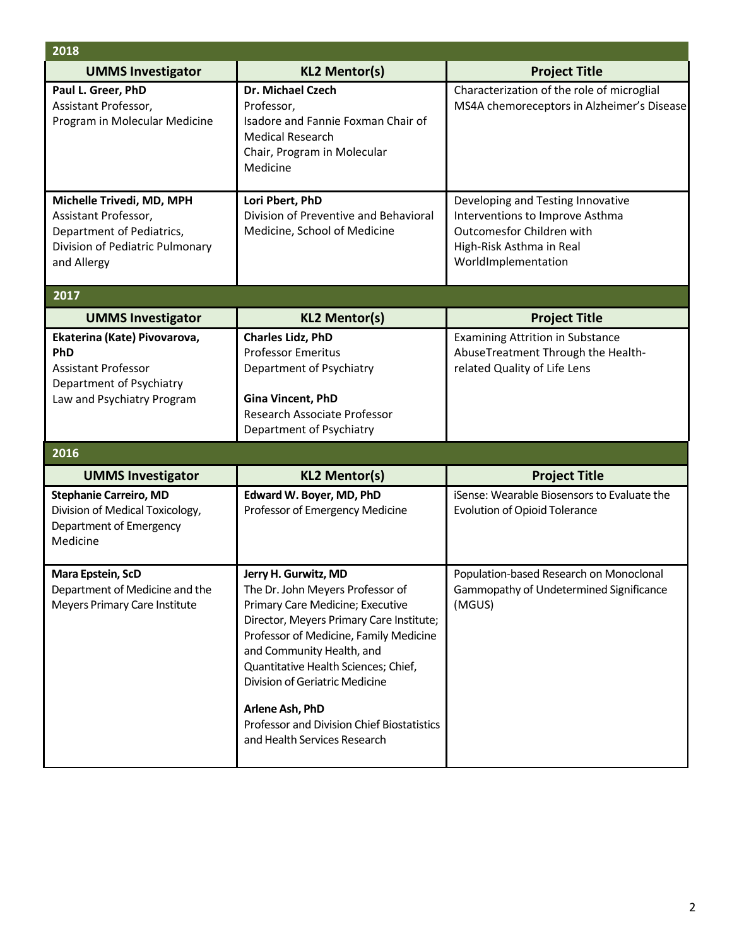| 2018                                                                                                                               |                                                                                                                                                                                                                                                                                                                                                                                            |                                                                                                                                                      |
|------------------------------------------------------------------------------------------------------------------------------------|--------------------------------------------------------------------------------------------------------------------------------------------------------------------------------------------------------------------------------------------------------------------------------------------------------------------------------------------------------------------------------------------|------------------------------------------------------------------------------------------------------------------------------------------------------|
| <b>UMMS Investigator</b>                                                                                                           | <b>KL2 Mentor(s)</b>                                                                                                                                                                                                                                                                                                                                                                       | <b>Project Title</b>                                                                                                                                 |
| Paul L. Greer, PhD<br>Assistant Professor,<br>Program in Molecular Medicine                                                        | Dr. Michael Czech<br>Professor,<br>Isadore and Fannie Foxman Chair of<br><b>Medical Research</b><br>Chair, Program in Molecular<br>Medicine                                                                                                                                                                                                                                                | Characterization of the role of microglial<br>MS4A chemoreceptors in Alzheimer's Disease                                                             |
| Michelle Trivedi, MD, MPH<br>Assistant Professor,<br>Department of Pediatrics,<br>Division of Pediatric Pulmonary<br>and Allergy   | Lori Pbert, PhD<br>Division of Preventive and Behavioral<br>Medicine, School of Medicine                                                                                                                                                                                                                                                                                                   | Developing and Testing Innovative<br>Interventions to Improve Asthma<br>Outcomesfor Children with<br>High-Risk Asthma in Real<br>WorldImplementation |
| 2017                                                                                                                               |                                                                                                                                                                                                                                                                                                                                                                                            |                                                                                                                                                      |
| <b>UMMS Investigator</b>                                                                                                           | <b>KL2 Mentor(s)</b>                                                                                                                                                                                                                                                                                                                                                                       | <b>Project Title</b>                                                                                                                                 |
| Ekaterina (Kate) Pivovarova,<br><b>PhD</b><br><b>Assistant Professor</b><br>Department of Psychiatry<br>Law and Psychiatry Program | <b>Charles Lidz, PhD</b><br><b>Professor Emeritus</b><br>Department of Psychiatry<br><b>Gina Vincent, PhD</b><br>Research Associate Professor<br>Department of Psychiatry                                                                                                                                                                                                                  | <b>Examining Attrition in Substance</b><br>AbuseTreatment Through the Health-<br>related Quality of Life Lens                                        |
| 2016                                                                                                                               |                                                                                                                                                                                                                                                                                                                                                                                            |                                                                                                                                                      |
| <b>UMMS Investigator</b>                                                                                                           | <b>KL2 Mentor(s)</b>                                                                                                                                                                                                                                                                                                                                                                       | <b>Project Title</b>                                                                                                                                 |
| <b>Stephanie Carreiro, MD</b><br>Division of Medical Toxicology,<br>Department of Emergency<br>Medicine                            | Edward W. Boyer, MD, PhD<br>Professor of Emergency Medicine                                                                                                                                                                                                                                                                                                                                | iSense: Wearable Biosensors to Evaluate the<br><b>Evolution of Opioid Tolerance</b>                                                                  |
| <b>Mara Epstein, ScD</b><br>Department of Medicine and the<br>Meyers Primary Care Institute                                        | Jerry H. Gurwitz, MD<br>The Dr. John Meyers Professor of<br>Primary Care Medicine; Executive<br>Director, Meyers Primary Care Institute;<br>Professor of Medicine, Family Medicine<br>and Community Health, and<br>Quantitative Health Sciences; Chief,<br>Division of Geriatric Medicine<br>Arlene Ash, PhD<br>Professor and Division Chief Biostatistics<br>and Health Services Research | Population-based Research on Monoclonal<br>Gammopathy of Undetermined Significance<br>(MGUS)                                                         |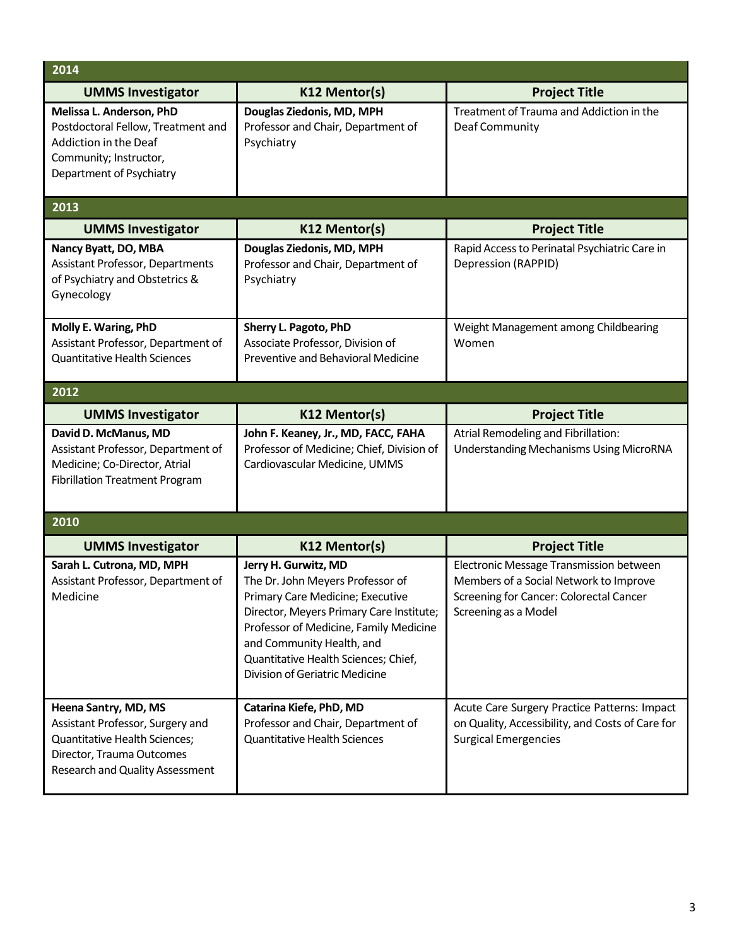| 2014                                                                                                                                                             |                                                                                                                                                                                                                                                                                           |                                                                                                                                                      |  |
|------------------------------------------------------------------------------------------------------------------------------------------------------------------|-------------------------------------------------------------------------------------------------------------------------------------------------------------------------------------------------------------------------------------------------------------------------------------------|------------------------------------------------------------------------------------------------------------------------------------------------------|--|
| <b>UMMS Investigator</b>                                                                                                                                         | K12 Mentor(s)                                                                                                                                                                                                                                                                             | <b>Project Title</b>                                                                                                                                 |  |
| Melissa L. Anderson, PhD<br>Postdoctoral Fellow, Treatment and<br>Addiction in the Deaf<br>Community; Instructor,<br>Department of Psychiatry                    | Douglas Ziedonis, MD, MPH<br>Professor and Chair, Department of<br>Psychiatry                                                                                                                                                                                                             | Treatment of Trauma and Addiction in the<br>Deaf Community                                                                                           |  |
| 2013                                                                                                                                                             |                                                                                                                                                                                                                                                                                           |                                                                                                                                                      |  |
| <b>UMMS Investigator</b>                                                                                                                                         | K12 Mentor(s)                                                                                                                                                                                                                                                                             | <b>Project Title</b>                                                                                                                                 |  |
| Nancy Byatt, DO, MBA<br>Assistant Professor, Departments<br>of Psychiatry and Obstetrics &<br>Gynecology                                                         | Douglas Ziedonis, MD, MPH<br>Professor and Chair, Department of<br>Psychiatry                                                                                                                                                                                                             | Rapid Access to Perinatal Psychiatric Care in<br>Depression (RAPPID)                                                                                 |  |
| Molly E. Waring, PhD<br>Assistant Professor, Department of<br><b>Quantitative Health Sciences</b>                                                                | Sherry L. Pagoto, PhD<br>Associate Professor, Division of<br>Preventive and Behavioral Medicine                                                                                                                                                                                           | Weight Management among Childbearing<br>Women                                                                                                        |  |
| 2012                                                                                                                                                             |                                                                                                                                                                                                                                                                                           |                                                                                                                                                      |  |
| <b>UMMS Investigator</b>                                                                                                                                         | K12 Mentor(s)                                                                                                                                                                                                                                                                             | <b>Project Title</b>                                                                                                                                 |  |
| David D. McManus, MD<br>Assistant Professor, Department of<br>Medicine; Co-Director, Atrial<br><b>Fibrillation Treatment Program</b>                             | John F. Keaney, Jr., MD, FACC, FAHA<br>Professor of Medicine; Chief, Division of<br>Cardiovascular Medicine, UMMS                                                                                                                                                                         | Atrial Remodeling and Fibrillation:<br><b>Understanding Mechanisms Using MicroRNA</b>                                                                |  |
| 2010                                                                                                                                                             |                                                                                                                                                                                                                                                                                           |                                                                                                                                                      |  |
| <b>UMMS Investigator</b>                                                                                                                                         | K12 Mentor(s)                                                                                                                                                                                                                                                                             | <b>Project Title</b>                                                                                                                                 |  |
| Sarah L. Cutrona, MD, MPH<br>Assistant Professor, Department of<br>Medicine                                                                                      | Jerry H. Gurwitz, MD<br>The Dr. John Meyers Professor of<br>Primary Care Medicine; Executive<br>Director, Meyers Primary Care Institute;<br>Professor of Medicine, Family Medicine<br>and Community Health, and<br>Quantitative Health Sciences; Chief,<br>Division of Geriatric Medicine | Electronic Message Transmission between<br>Members of a Social Network to Improve<br>Screening for Cancer: Colorectal Cancer<br>Screening as a Model |  |
| Heena Santry, MD, MS<br>Assistant Professor, Surgery and<br><b>Quantitative Health Sciences;</b><br>Director, Trauma Outcomes<br>Research and Quality Assessment | Catarina Kiefe, PhD, MD<br>Professor and Chair, Department of<br><b>Quantitative Health Sciences</b>                                                                                                                                                                                      | Acute Care Surgery Practice Patterns: Impact<br>on Quality, Accessibility, and Costs of Care for<br><b>Surgical Emergencies</b>                      |  |